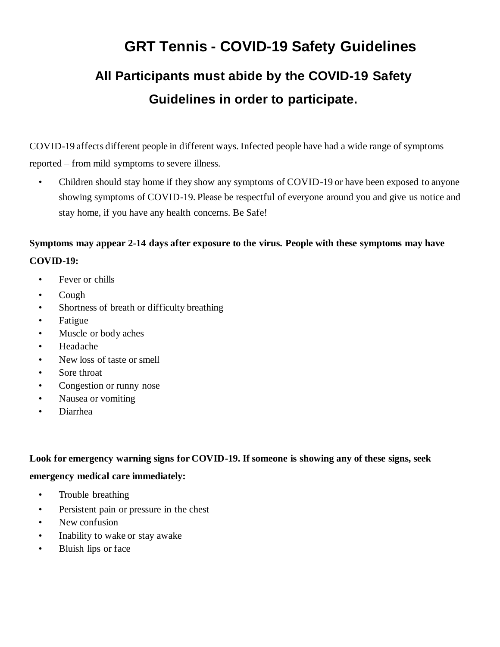# **GRT Tennis - COVID-19 Safety Guidelines All Participants must abide by the COVID-19 Safety Guidelines in order to participate.**

COVID-19 affects different people in different ways. Infected people have had a wide range of symptoms reported – from mild symptoms to severe illness.

• Children should stay home if they show any symptoms of COVID-19 or have been exposed to anyone showing symptoms of COVID-19. Please be respectful of everyone around you and give us notice and stay home, if you have any health concerns. Be Safe!

# **Symptoms may appear 2-14 days after exposure to the virus. People with these symptoms may have COVID-19:**

- Fever or chills
- Cough
- Shortness of breath or difficulty breathing
- Fatigue
- Muscle or body aches
- Headache
- New loss of taste or smell
- Sore throat
- Congestion or runny nose
- Nausea or vomiting
- Diarrhea

#### **Look for emergency warning signs for COVID-19. If someone is showing any of these signs, seek**

#### **emergency medical care immediately:**

- Trouble breathing
- Persistent pain or pressure in the chest
- New confusion
- Inability to wake or stay awake
- Bluish lips or face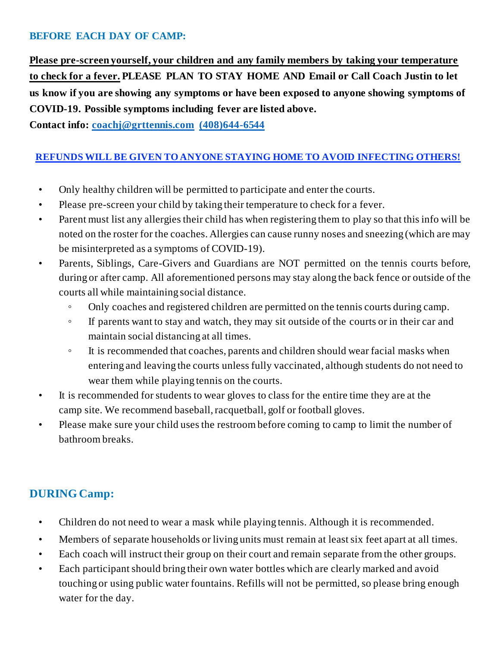## **BEFORE EACH DAY OF CAMP:**

**Please pre-screen yourself, your children and any family members by taking your temperature to check for a fever. PLEASE PLAN TO STAY HOME AND Email or Call Coach Justin to let us know if you are showing any symptoms or have been exposed to anyone showing symptoms of COVID-19. Possible symptoms including fever are listed above.** 

**Contact info: [coachj@grttennis.com](mailto:coachj@grttennis.com) [\(408\)644-6544](mailto:rachel@youthleaguetennis.org)**

## **REFUNDS WILL BE GIVEN TO ANYONE STAYING HOME TO AVOID INFECTING OTHERS!**

- Only healthy children will be permitted to participate and enter the courts.
- Please pre-screen your child by taking their temperature to check for a fever.
- Parent must list any allergies their child has when registering them to play so that this info will be noted on the roster for the coaches. Allergies can cause runny noses and sneezing (which are may be misinterpreted as a symptoms of COVID-19).
- Parents, Siblings, Care-Givers and Guardians are NOT permitted on the tennis courts before, during or after camp. All aforementioned persons may stay along the back fence or outside of the courts all while maintaining social distance.
	- Only coaches and registered children are permitted on the tennis courts during camp.
	- If parents want to stay and watch, they may sit outside of the courts or in their car and maintain social distancing at all times.
	- It is recommended that coaches, parents and children should wear facial masks when entering and leaving the courts unless fully vaccinated, although students do not need to wear them while playing tennis on the courts.
- It is recommended for students to wear gloves to class for the entire time they are at the camp site. We recommend baseball, racquetball, golf or football gloves.
- Please make sure your child uses the restroom before coming to camp to limit the number of bathroom breaks.

## **DURING Camp:**

- Children do not need to wear a mask while playing tennis. Although it is recommended.
- Members of separate households or living units must remain at least six feet apart at all times.
- Each coach will instruct their group on their court and remain separate from the other groups.
- Each participant should bring their own water bottles which are clearly marked and avoid touching or using public water fountains. Refills will not be permitted, so please bring enough water for the day.